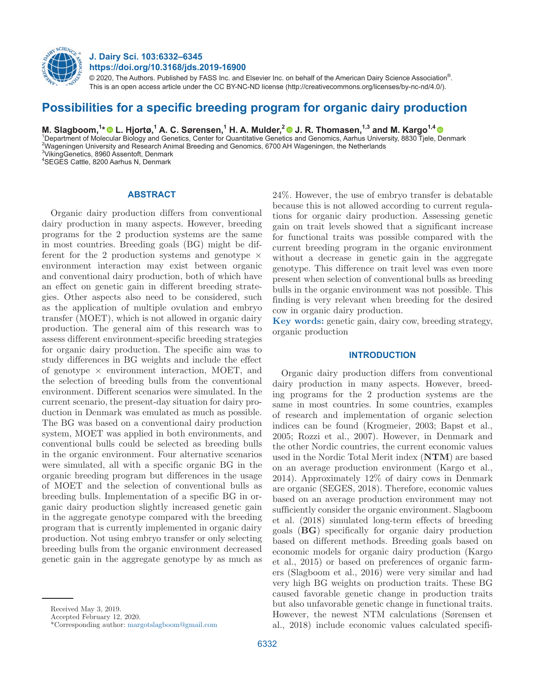

**J. Dairy Sci. 103:6332–6345 https://doi.org/10.3168/jds.2019-16900**

© 2020, The Authors. Published by FASS Inc. and Elsevier Inc. on behalf of the American Dairy Science Association®. This is an open access article under the CC BY-NC-ND license (http://creativecommons.org/licenses/by-nc-nd/4.0/).

# **Possibilities for a specific breeding program for organic dairy production**

**M. Slagboom,1 \* L. Hjortø,1 A. C. Sørensen,1 H. A. Mulder,2 J. R. Thomasen,1,3 and M. Kargo1,4**

1 Department of Molecular Biology and Genetics, Center for Quantitative Genetics and Genomics, Aarhus University, 8830 Tjele, Denmark  $^2$ Wageningen University and Research Animal Breeding and Genomics, 6700 AH Wageningen, the Netherlands 3 VikingGenetics, 8960 Assentoft, Denmark

4 SEGES Cattle, 8200 Aarhus N, Denmark

### **ABSTRACT**

Organic dairy production differs from conventional dairy production in many aspects. However, breeding programs for the 2 production systems are the same in most countries. Breeding goals (BG) might be different for the 2 production systems and genotype  $\times$ environment interaction may exist between organic and conventional dairy production, both of which have an effect on genetic gain in different breeding strategies. Other aspects also need to be considered, such as the application of multiple ovulation and embryo transfer (MOET), which is not allowed in organic dairy production. The general aim of this research was to assess different environment-specific breeding strategies for organic dairy production. The specific aim was to study differences in BG weights and include the effect of genotype  $\times$  environment interaction, MOET, and the selection of breeding bulls from the conventional environment. Different scenarios were simulated. In the current scenario, the present-day situation for dairy production in Denmark was emulated as much as possible. The BG was based on a conventional dairy production system, MOET was applied in both environments, and conventional bulls could be selected as breeding bulls in the organic environment. Four alternative scenarios were simulated, all with a specific organic BG in the organic breeding program but differences in the usage of MOET and the selection of conventional bulls as breeding bulls. Implementation of a specific BG in organic dairy production slightly increased genetic gain in the aggregate genotype compared with the breeding program that is currently implemented in organic dairy production. Not using embryo transfer or only selecting breeding bulls from the organic environment decreased genetic gain in the aggregate genotype by as much as

Accepted February 12, 2020.

24%. However, the use of embryo transfer is debatable because this is not allowed according to current regulations for organic dairy production. Assessing genetic gain on trait levels showed that a significant increase for functional traits was possible compared with the current breeding program in the organic environment without a decrease in genetic gain in the aggregate genotype. This difference on trait level was even more present when selection of conventional bulls as breeding bulls in the organic environment was not possible. This finding is very relevant when breeding for the desired cow in organic dairy production.

**Key words:** genetic gain, dairy cow, breeding strategy, organic production

### **INTRODUCTION**

Organic dairy production differs from conventional dairy production in many aspects. However, breeding programs for the 2 production systems are the same in most countries. In some countries, examples of research and implementation of organic selection indices can be found (Krogmeier, 2003; Bapst et al., 2005; Rozzi et al., 2007). However, in Denmark and the other Nordic countries, the current economic values used in the Nordic Total Merit index (**NTM**) are based on an average production environment (Kargo et al., 2014). Approximately 12% of dairy cows in Denmark are organic (SEGES, 2018). Therefore, economic values based on an average production environment may not sufficiently consider the organic environment. Slagboom et al. (2018) simulated long-term effects of breeding goals (**BG**) specifically for organic dairy production based on different methods. Breeding goals based on economic models for organic dairy production (Kargo et al., 2015) or based on preferences of organic farmers (Slagboom et al., 2016) were very similar and had very high BG weights on production traits. These BG caused favorable genetic change in production traits but also unfavorable genetic change in functional traits. However, the newest NTM calculations (Sørensen et al., 2018) include economic values calculated specifi-

Received May 3, 2019.

<sup>\*</sup>Corresponding author: [margotslagboom@gmail.com](mailto:margotslagboom@gmail.com)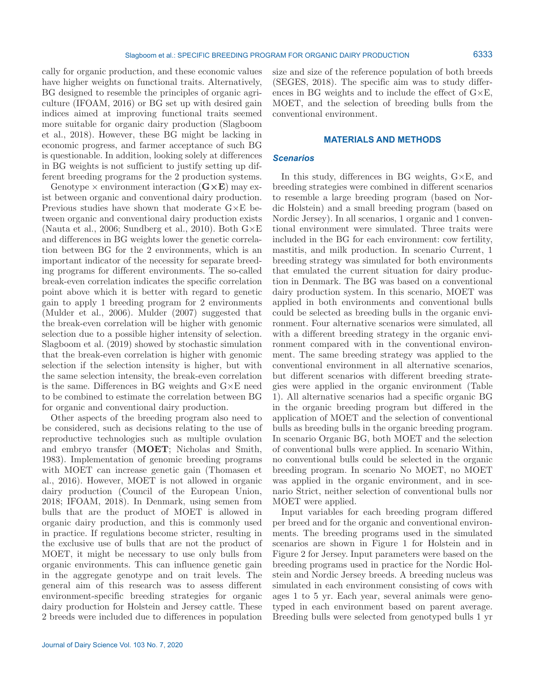cally for organic production, and these economic values have higher weights on functional traits. Alternatively, BG designed to resemble the principles of organic agriculture (IFOAM, 2016) or BG set up with desired gain indices aimed at improving functional traits seemed more suitable for organic dairy production (Slagboom et al., 2018). However, these BG might be lacking in economic progress, and farmer acceptance of such BG is questionable. In addition, looking solely at differences in BG weights is not sufficient to justify setting up different breeding programs for the 2 production systems.

Genotype  $\times$  environment interaction  $(G \times E)$  may exist between organic and conventional dairy production. Previous studies have shown that moderate G×E between organic and conventional dairy production exists (Nauta et al., 2006; Sundberg et al., 2010). Both G×E and differences in BG weights lower the genetic correlation between BG for the 2 environments, which is an important indicator of the necessity for separate breeding programs for different environments. The so-called break-even correlation indicates the specific correlation point above which it is better with regard to genetic gain to apply 1 breeding program for 2 environments (Mulder et al., 2006). Mulder (2007) suggested that the break-even correlation will be higher with genomic selection due to a possible higher intensity of selection. Slagboom et al. (2019) showed by stochastic simulation that the break-even correlation is higher with genomic selection if the selection intensity is higher, but with the same selection intensity, the break-even correlation is the same. Differences in BG weights and G×E need to be combined to estimate the correlation between BG for organic and conventional dairy production.

Other aspects of the breeding program also need to be considered, such as decisions relating to the use of reproductive technologies such as multiple ovulation and embryo transfer (**MOET**; Nicholas and Smith, 1983). Implementation of genomic breeding programs with MOET can increase genetic gain (Thomasen et al., 2016). However, MOET is not allowed in organic dairy production (Council of the European Union, 2018; IFOAM, 2018). In Denmark, using semen from bulls that are the product of MOET is allowed in organic dairy production, and this is commonly used in practice. If regulations become stricter, resulting in the exclusive use of bulls that are not the product of MOET, it might be necessary to use only bulls from organic environments. This can influence genetic gain in the aggregate genotype and on trait levels. The general aim of this research was to assess different environment-specific breeding strategies for organic dairy production for Holstein and Jersey cattle. These 2 breeds were included due to differences in population size and size of the reference population of both breeds (SEGES, 2018). The specific aim was to study differences in BG weights and to include the effect of  $G \times E$ , MOET, and the selection of breeding bulls from the conventional environment.

### **MATERIALS AND METHODS**

#### *Scenarios*

In this study, differences in BG weights, G×E, and breeding strategies were combined in different scenarios to resemble a large breeding program (based on Nordic Holstein) and a small breeding program (based on Nordic Jersey). In all scenarios, 1 organic and 1 conventional environment were simulated. Three traits were included in the BG for each environment: cow fertility, mastitis, and milk production. In scenario Current, 1 breeding strategy was simulated for both environments that emulated the current situation for dairy production in Denmark. The BG was based on a conventional dairy production system. In this scenario, MOET was applied in both environments and conventional bulls could be selected as breeding bulls in the organic environment. Four alternative scenarios were simulated, all with a different breeding strategy in the organic environment compared with in the conventional environment. The same breeding strategy was applied to the conventional environment in all alternative scenarios, but different scenarios with different breeding strategies were applied in the organic environment (Table 1). All alternative scenarios had a specific organic BG in the organic breeding program but differed in the application of MOET and the selection of conventional bulls as breeding bulls in the organic breeding program. In scenario Organic BG, both MOET and the selection of conventional bulls were applied. In scenario Within, no conventional bulls could be selected in the organic breeding program. In scenario No MOET, no MOET was applied in the organic environment, and in scenario Strict, neither selection of conventional bulls nor MOET were applied.

Input variables for each breeding program differed per breed and for the organic and conventional environments. The breeding programs used in the simulated scenarios are shown in Figure 1 for Holstein and in Figure 2 for Jersey. Input parameters were based on the breeding programs used in practice for the Nordic Holstein and Nordic Jersey breeds. A breeding nucleus was simulated in each environment consisting of cows with ages 1 to 5 yr. Each year, several animals were genotyped in each environment based on parent average. Breeding bulls were selected from genotyped bulls 1 yr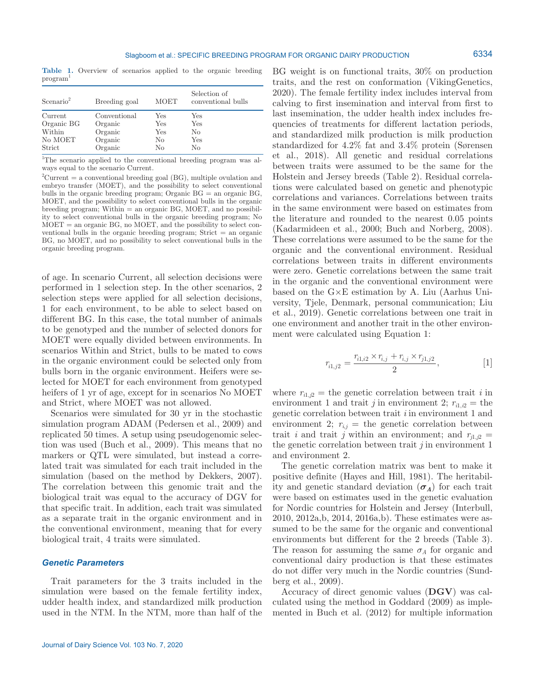**Table 1.** Overview of scenarios applied to the organic breeding program

| Scenario <sup>2</sup>                      | Breeding goal                                 | MOET                    | Selection of<br>conventional bulls |
|--------------------------------------------|-----------------------------------------------|-------------------------|------------------------------------|
| Current<br>Organic BG<br>Within<br>No MOET | Conventional<br>Organic<br>Organic<br>Organic | Yes<br>Yes<br>Yes<br>No | Yes<br>Yes<br>No<br>Yes            |
| Strict                                     | Organic                                       | No                      | No                                 |

<sup>1</sup>The scenario applied to the conventional breeding program was always equal to the scenario Current.

 ${}^{2}$ Current = a conventional breeding goal (BG), multiple ovulation and embryo transfer (MOET), and the possibility to select conventional bulls in the organic breeding program; Organic  $BG =$  an organic  $BG$ , MOET, and the possibility to select conventional bulls in the organic breeding program; Within = an organic BG, MOET, and no possibility to select conventional bulls in the organic breeding program; No MOET = an organic BG, no MOET, and the possibility to select conventional bulls in the organic breeding program;  $\text{Strict} = \text{an organic}$ BG, no MOET, and no possibility to select conventional bulls in the organic breeding program.

of age. In scenario Current, all selection decisions were performed in 1 selection step. In the other scenarios, 2 selection steps were applied for all selection decisions, 1 for each environment, to be able to select based on different BG. In this case, the total number of animals to be genotyped and the number of selected donors for MOET were equally divided between environments. In scenarios Within and Strict, bulls to be mated to cows in the organic environment could be selected only from bulls born in the organic environment. Heifers were selected for MOET for each environment from genotyped heifers of 1 yr of age, except for in scenarios No MOET and Strict, where MOET was not allowed.

Scenarios were simulated for 30 yr in the stochastic simulation program ADAM (Pedersen et al., 2009) and replicated 50 times. A setup using pseudogenomic selection was used (Buch et al., 2009). This means that no markers or QTL were simulated, but instead a correlated trait was simulated for each trait included in the simulation (based on the method by Dekkers, 2007). The correlation between this genomic trait and the biological trait was equal to the accuracy of DGV for that specific trait. In addition, each trait was simulated as a separate trait in the organic environment and in the conventional environment, meaning that for every biological trait, 4 traits were simulated.

#### *Genetic Parameters*

Trait parameters for the 3 traits included in the simulation were based on the female fertility index, udder health index, and standardized milk production used in the NTM. In the NTM, more than half of the BG weight is on functional traits, 30% on production traits, and the rest on conformation (VikingGenetics, 2020). The female fertility index includes interval from calving to first insemination and interval from first to last insemination, the udder health index includes frequencies of treatments for different lactation periods, and standardized milk production is milk production standardized for 4.2% fat and 3.4% protein (Sørensen et al., 2018). All genetic and residual correlations between traits were assumed to be the same for the Holstein and Jersey breeds (Table 2). Residual correlations were calculated based on genetic and phenotypic correlations and variances. Correlations between traits in the same environment were based on estimates from the literature and rounded to the nearest 0.05 points (Kadarmideen et al., 2000; Buch and Norberg, 2008). These correlations were assumed to be the same for the organic and the conventional environment. Residual correlations between traits in different environments were zero. Genetic correlations between the same trait in the organic and the conventional environment were based on the G×E estimation by A. Liu (Aarhus University, Tjele, Denmark, personal communication; Liu et al., 2019). Genetic correlations between one trait in one environment and another trait in the other environment were calculated using Equation 1:

$$
r_{i1,j2} = \frac{r_{i1,i2} \times r_{i,j} + r_{i,j} \times r_{j1,j2}}{2}, \qquad [1]
$$

where  $r_{i1,i}$ <sup>2</sup> = the genetic correlation between trait *i* in environment 1 and trait *j* in environment 2;  $r_{i1,2}$  = the genetic correlation between trait *i* in environment 1 and environment 2;  $r_{i,j}$  = the genetic correlation between trait *i* and trait *j* within an environment; and  $r_{i1,i2}$  = the genetic correlation between trait *j* in environment 1 and environment 2.

The genetic correlation matrix was bent to make it positive definite (Hayes and Hill, 1981). The heritability and genetic standard deviation  $(\sigma_A)$  for each trait were based on estimates used in the genetic evaluation for Nordic countries for Holstein and Jersey (Interbull, 2010, 2012a,b, 2014, 2016a,b). These estimates were assumed to be the same for the organic and conventional environments but different for the 2 breeds (Table 3). The reason for assuming the same  $\sigma_A$  for organic and conventional dairy production is that these estimates do not differ very much in the Nordic countries (Sundberg et al., 2009).

Accuracy of direct genomic values (**DGV**) was calculated using the method in Goddard (2009) as implemented in Buch et al. (2012) for multiple information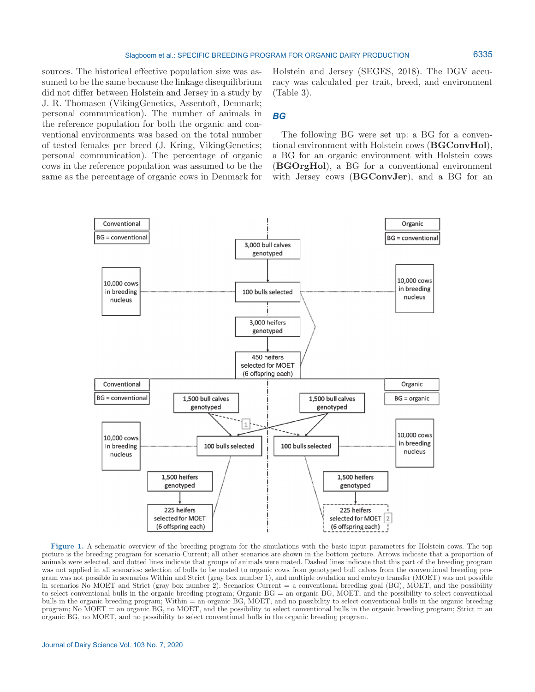sources. The historical effective population size was assumed to be the same because the linkage disequilibrium did not differ between Holstein and Jersey in a study by J. R. Thomasen (VikingGenetics, Assentoft, Denmark; personal communication). The number of animals in the reference population for both the organic and conventional environments was based on the total number of tested females per breed (J. Kring, VikingGenetics; personal communication). The percentage of organic cows in the reference population was assumed to be the same as the percentage of organic cows in Denmark for

Holstein and Jersey (SEGES, 2018). The DGV accuracy was calculated per trait, breed, and environment (Table 3).

### *BG*

The following BG were set up: a BG for a conventional environment with Holstein cows (**BGConvHol**), a BG for an organic environment with Holstein cows (**BGOrgHol**), a BG for a conventional environment with Jersey cows (**BGConvJer**), and a BG for an



**Figure 1.** A schematic overview of the breeding program for the simulations with the basic input parameters for Holstein cows. The top picture is the breeding program for scenario Current; all other scenarios are shown in the bottom picture. Arrows indicate that a proportion of animals were selected, and dotted lines indicate that groups of animals were mated. Dashed lines indicate that this part of the breeding program was not applied in all scenarios: selection of bulls to be mated to organic cows from genotyped bull calves from the conventional breeding program was not possible in scenarios Within and Strict (gray box number 1), and multiple ovulation and embryo transfer (MOET) was not possible in scenarios No MOET and Strict (gray box number 2). Scenarios: Current = a conventional breeding goal (BG), MOET, and the possibility to select conventional bulls in the organic breeding program;  $O$ rganic  $BG =$  an organic  $BG$ , MOET, and the possibility to select conventional bulls in the organic breeding program; Within = an organic BG, MOET, and no possibility to select conventional bulls in the organic breeding program; No  $MOET =$  an organic BG, no MOET, and the possibility to select conventional bulls in the organic breeding program; Strict  $=$  an organic BG, no MOET, and no possibility to select conventional bulls in the organic breeding program.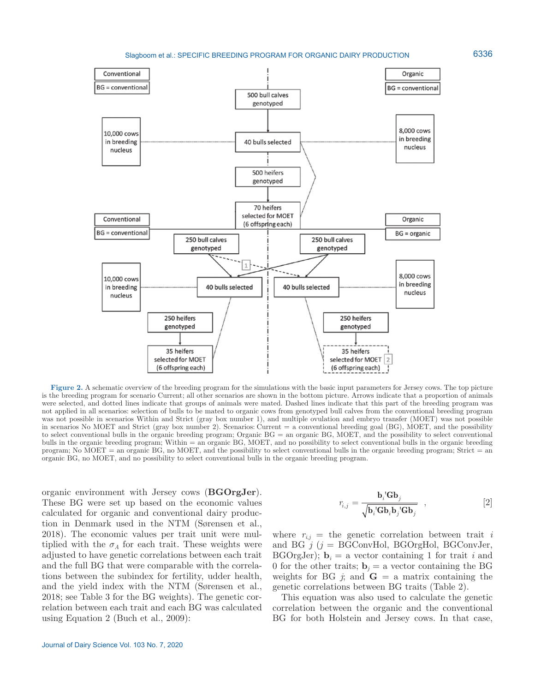

Figure 2. A schematic overview of the breeding program for the simulations with the basic input parameters for Jersey cows. The top picture is the breeding program for scenario Current; all other scenarios are shown in the bottom picture. Arrows indicate that a proportion of animals were selected, and dotted lines indicate that groups of animals were mated. Dashed lines indicate that this part of the breeding program was not applied in all scenarios: selection of bulls to be mated to organic cows from genotyped bull calves from the conventional breeding program was not possible in scenarios Within and Strict (gray box number 1), and multiple ovulation and embryo transfer (MOET) was not possible in scenarios No MOET and Strict (gray box number 2). Scenarios: Current = a conventional breeding goal (BG), MOET, and the possibility to select conventional bulls in the organic breeding program; Organic BG = an organic BG, MOET, and the possibility to select conventional bulls in the organic breeding program; Within = an organic BG, MOET, and no possibility to select conventional bulls in the organic breeding program; No  $MOET =$  an organic BG, no  $MOET$ , and the possibility to select conventional bulls in the organic breeding program; Strict  $=$  an organic BG, no MOET, and no possibility to select conventional bulls in the organic breeding program.

organic environment with Jersey cows (**BGOrgJer**). These BG were set up based on the economic values calculated for organic and conventional dairy production in Denmark used in the NTM (Sørensen et al., 2018). The economic values per trait unit were multiplied with the  $\sigma_A$  for each trait. These weights were adjusted to have genetic correlations between each trait and the full BG that were comparable with the correlations between the subindex for fertility, udder health, and the yield index with the NTM (Sørensen et al., 2018; see Table 3 for the BG weights). The genetic correlation between each trait and each BG was calculated using Equation 2 (Buch et al., 2009):

$$
r_{i,j} = \frac{\mathbf{b}_i \mathbf{G} \mathbf{b}_j}{\sqrt{\mathbf{b}_i \mathbf{G} \mathbf{b}_i \mathbf{b}_j \mathbf{G} \mathbf{b}_j}} \quad , \tag{2}
$$

where  $r_{i,j}$  = the genetic correlation between trait *i* and BG *j* (*j* = BGConvHol, BGOrgHol, BGConvJer, BGOrgJer);  $\mathbf{b}_i = \mathbf{a}$  vector containing 1 for trait *i* and 0 for the other traits;  $\mathbf{b}_j = \mathbf{a}$  vector containing the BG weights for BG *j*; and  $\mathbf{G} = \mathbf{a}$  matrix containing the genetic correlations between BG traits (Table 2).

This equation was also used to calculate the genetic correlation between the organic and the conventional BG for both Holstein and Jersey cows. In that case,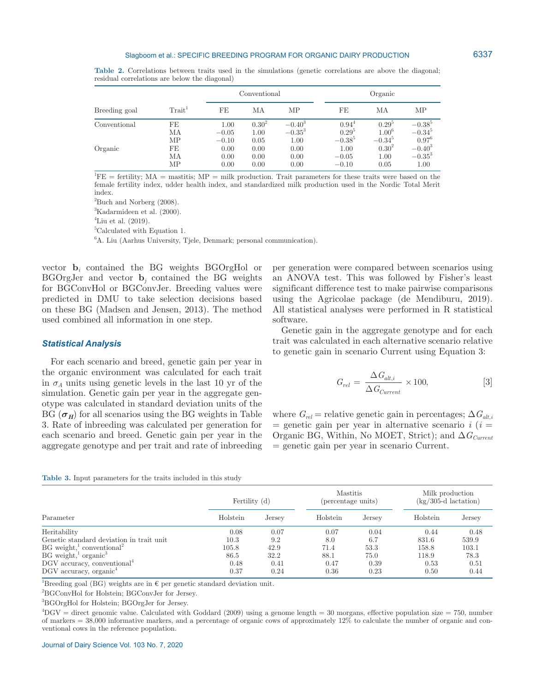**Table 2.** Correlations between traits used in the simulations (genetic correlations are above the diagonal; residual correlations are below the diagonal)

|               |                    |                         | Conventional         |                            |                                | Organic                           |                                          |  |  |
|---------------|--------------------|-------------------------|----------------------|----------------------------|--------------------------------|-----------------------------------|------------------------------------------|--|--|
| Breeding goal | Trait <sup>1</sup> | FE                      | МA                   | MP                         | FE                             | МA                                | MP                                       |  |  |
| Conventional  | FE<br>МA           | 1.00<br>$-0.05$         | $0.30^{2}$<br>1.00   | $-0.40^{3}$<br>$-0.35^{3}$ | $0.94^{4}$<br>$0.29^{5}$       | $0.29^{5}$<br>$1.00^{6}$          | $-0.38^{5}$<br>$-0.34^{5}$               |  |  |
| Organic       | MP<br>FE<br>МA     | $-0.10$<br>0.00<br>0.00 | 0.05<br>0.00<br>0.00 | 1.00<br>0.00<br>0.00       | $-0.38^{5}$<br>1.00<br>$-0.05$ | $-0.34^{5}$<br>$0.30^{2}$<br>1.00 | $0.97^{6}$<br>$-0.40^{3}$<br>$-0.35^{3}$ |  |  |
|               | ΜP                 | 0.00                    | 0.00                 | 0.00                       | $-0.10$                        | 0.05                              | 1.00                                     |  |  |

 ${}^{1}FE =$  fertility; MA = mastitis; MP = milk production. Trait parameters for these traits were based on the female fertility index, udder health index, and standardized milk production used in the Nordic Total Merit index.

 ${}^{2}$ Buch and Norberg (2008). 3 Kadarmideen et al. (2000).

 ${}^{4}$ Liu et al. (2019).

5 Calculated with Equation 1.

6 A. Liu (Aarhus University, Tjele, Denmark; personal communication).

vector **b***i* contained the BG weights BGOrgHol or BGOrgJer and vector **b***j* contained the BG weights for BGConvHol or BGConvJer. Breeding values were predicted in DMU to take selection decisions based on these BG (Madsen and Jensen, 2013). The method used combined all information in one step.

### *Statistical Analysis*

For each scenario and breed, genetic gain per year in the organic environment was calculated for each trait in  $\sigma_A$  units using genetic levels in the last 10 yr of the simulation. Genetic gain per year in the aggregate genotype was calculated in standard deviation units of the  $BG(\sigma_H)$  for all scenarios using the BG weights in Table 3. Rate of inbreeding was calculated per generation for each scenario and breed. Genetic gain per year in the aggregate genotype and per trait and rate of inbreeding

per generation were compared between scenarios using an ANOVA test. This was followed by Fisher's least significant difference test to make pairwise comparisons using the Agricolae package (de Mendiburu, 2019). All statistical analyses were performed in R statistical software.

Genetic gain in the aggregate genotype and for each trait was calculated in each alternative scenario relative to genetic gain in scenario Current using Equation 3:

$$
G_{rel} = \frac{\Delta G_{alt,i}}{\Delta G_{Current}} \times 100,
$$
 [3]

where  $G_{rel}$  = relative genetic gain in percentages;  $\Delta G_{alt,i}$  $=$  genetic gain per year in alternative scenario  $i(i =$ Organic BG, Within, No MOET, Strict); and Δ*GCurrent* = genetic gain per year in scenario Current.

|  |  |  | Table 3. Input parameters for the traits included in this study |  |  |  |  |  |  |  |
|--|--|--|-----------------------------------------------------------------|--|--|--|--|--|--|--|
|--|--|--|-----------------------------------------------------------------|--|--|--|--|--|--|--|

|                                                 | Fertility $(d)$ |        | Mastitis<br>(percentage units) |        | Milk production<br>$\frac{kg}{305-d}$ lactation |        |
|-------------------------------------------------|-----------------|--------|--------------------------------|--------|-------------------------------------------------|--------|
| Parameter                                       | Holstein        | Jersey | Holstein                       | Jersey | Holstein                                        | Jersey |
| Heritability                                    | 0.08            | 0.07   | 0.07                           | 0.04   | 0.44                                            | 0.48   |
| Genetic standard deviation in trait unit        | 10.3            | 9.2    | 8.0                            | 6.7    | 831.6                                           | 539.9  |
| $BG$ weight, $\alpha$ conventional <sup>2</sup> | 105.8           | 42.9   | 71.4                           | 53.3   | 158.8                                           | 103.1  |
| $BG$ weight, $\sigma$ organic <sup>3</sup>      | 86.5            | 32.2   | 88.1                           | 75.0   | 118.9                                           | 78.3   |
| DGV accuracy, conventional <sup>4</sup>         | 0.48            | 0.41   | 0.47                           | 0.39   | 0.53                                            | 0.51   |
| $DGV$ accuracy, organic <sup>4</sup>            | 0.37            | 0.24   | 0.36                           | 0.23   | 0.50                                            | 0.44   |

<sup>1</sup>Breeding goal (BG) weights are in  $\epsilon$  per genetic standard deviation unit.

2 BGConvHol for Holstein; BGConvJer for Jersey.

3 BGOrgHol for Holstein; BGOrgJer for Jersey.

 ${}^{4}$ DGV = direct genomic value. Calculated with Goddard (2009) using a genome length = 30 morgans, effective population size = 750, number of markers = 38,000 informative markers, and a percentage of organic cows of approximately 12% to calculate the number of organic and conventional cows in the reference population.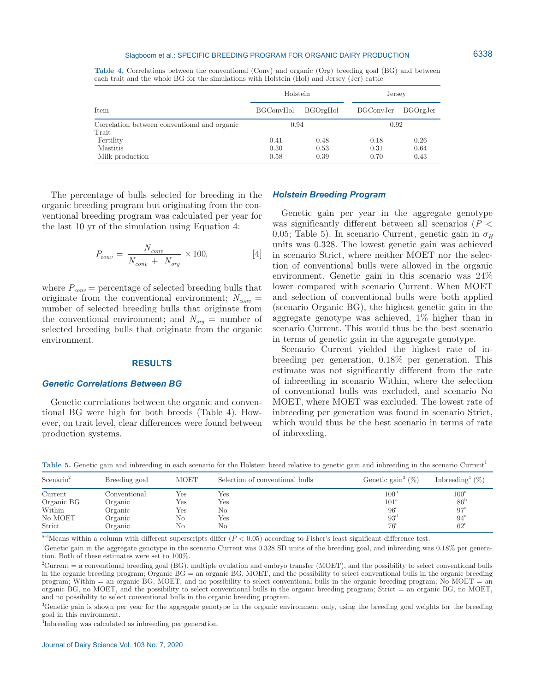**Table 4.** Correlations between the conventional (Conv) and organic (Org) breeding goal (BG) and between each trait and the whole BG for the simulations with Holstein (Hol) and Jersey (Jer) cattle

|                                                       | Holstein             |                      | Jersey               |                      |
|-------------------------------------------------------|----------------------|----------------------|----------------------|----------------------|
| Item                                                  | <b>BGConvHol</b>     | <b>BGOrgHol</b>      | <b>BGConvJer</b>     | BGOrgJer             |
| Correlation between conventional and organic<br>Trait | 0.94                 |                      | 0.92                 |                      |
| Fertility<br><b>Mastitis</b><br>Milk production       | 0.41<br>0.30<br>0.58 | 0.48<br>0.53<br>0.39 | 0.18<br>0.31<br>0.70 | 0.26<br>0.64<br>0.43 |

The percentage of bulls selected for breeding in the organic breeding program but originating from the conventional breeding program was calculated per year for the last 10 yr of the simulation using Equation 4:

$$
P_{conv} = \frac{N_{conv}}{N_{conv} + N_{org}} \times 100,
$$
 [4]

where  $P_{conv}$  = percentage of selected breeding bulls that originate from the conventional environment;  $N_{conv}$  = number of selected breeding bulls that originate from the conventional environment; and  $N_{\text{org}} =$  number of selected breeding bulls that originate from the organic environment.

#### **RESULTS**

### *Genetic Correlations Between BG*

Genetic correlations between the organic and conventional BG were high for both breeds (Table 4). However, on trait level, clear differences were found between production systems.

#### *Holstein Breeding Program*

Genetic gain per year in the aggregate genotype was significantly different between all scenarios (*P* < 0.05; Table 5). In scenario Current, genetic gain in  $\sigma_H$ units was 0.328. The lowest genetic gain was achieved in scenario Strict, where neither MOET nor the selection of conventional bulls were allowed in the organic environment. Genetic gain in this scenario was 24% lower compared with scenario Current. When MOET and selection of conventional bulls were both applied (scenario Organic BG), the highest genetic gain in the aggregate genotype was achieved, 1% higher than in scenario Current. This would thus be the best scenario in terms of genetic gain in the aggregate genotype.

Scenario Current yielded the highest rate of inbreeding per generation, 0.18% per generation. This estimate was not significantly different from the rate of inbreeding in scenario Within, where the selection of conventional bulls was excluded, and scenario No MOET, where MOET was excluded. The lowest rate of inbreeding per generation was found in scenario Strict, which would thus be the best scenario in terms of rate of inbreeding.

Table 5. Genetic gain and inbreeding in each scenario for the Holstein breed relative to genetic gain and inbreeding in the scenario Current<sup>1</sup>

| Scenario <sup>2</sup> | Breeding goal | <b>MOET</b> | Selection of conventional bulls | Genetic gain <sup>3</sup> $(\%)$ | Inbreeding <sup>4</sup> $(\%)$ |
|-----------------------|---------------|-------------|---------------------------------|----------------------------------|--------------------------------|
| Current               | Conventional  | Yes         | Yes                             | $100^{\rm b}$                    | $100^{\mathrm{a}}$             |
| Organic BG            | Organic       | Yes         | Yes                             | $101^{\mathrm{a}}$               | 86 <sup>b</sup>                |
| Within                | Organic       | Yes         | No                              | 96 <sup>°</sup>                  | $97^{\rm a}$                   |
| No MOET               | Organic       | No          | Yes                             | 93 <sup>d</sup>                  | $94^{\mathrm{a}}$              |
| Strict                | Organic       | No          | No                              | $76^{\circ}$                     | $62^{\circ}$                   |

<sup>a–e</sup>Means within a column with different superscripts differ  $(P < 0.05)$  according to Fisher's least significant difference test.

<sup>1</sup>Genetic gain in the aggregate genotype in the scenario Current was 0.328 SD units of the breeding goal, and inbreeding was 0.18% per generation. Both of these estimates were set to 100%.

 ${}^{2}$ Current = a conventional breeding goal (BG), multiple ovulation and embryo transfer (MOET), and the possibility to select conventional bulls in the organic breeding program; Organic BG = an organic BG, MOET, and the possibility to select conventional bulls in the organic breeding program; Within  $=$  an organic BG, MOET, and no possibility to select conventional bulls in the organic breeding program; No MOET  $=$  an organic BG, no MOET, and the possibility to select conventional bulls in the organic breeding program; Strict = an organic BG, no MOET, and no possibility to select conventional bulls in the organic breeding program.

3 Genetic gain is shown per year for the aggregate genotype in the organic environment only, using the breeding goal weights for the breeding goal in this environment.

4 Inbreeding was calculated as inbreeding per generation.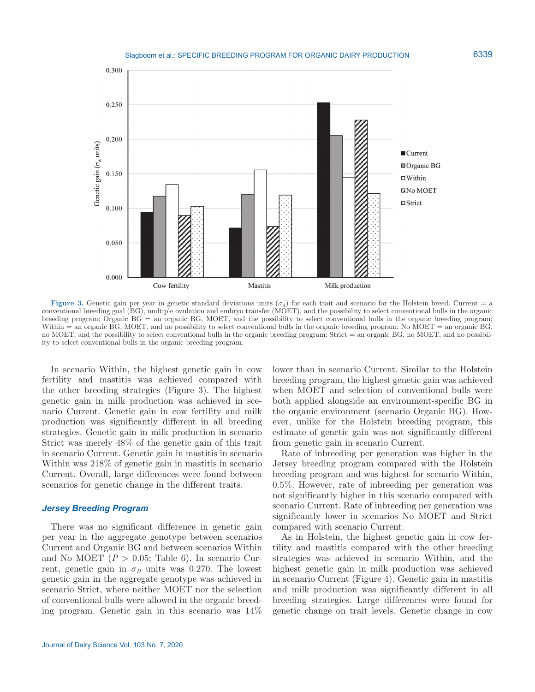

**Figure 3.** Genetic gain per year in genetic standard deviations units  $(\sigma_A)$  for each trait and scenario for the Holstein breed. Current = a conventional breeding goal (BG), multiple ovulation and embryo transfer (MOET), and the possibility to select conventional bulls in the organic breeding program; Organic  $BG =$  an organic  $BG$ , MOET, and the possibility to select conventional bulls in the organic breeding program; Within = an organic BG, MOET, and no possibility to select conventional bulls in the organic breeding program; No MOET = an organic BG, no MOET, and the possibility to select conventional bulls in the organic breeding program; Strict = an organic BG, no MOET, and no possibility to select conventional bulls in the organic breeding program.

In scenario Within, the highest genetic gain in cow fertility and mastitis was achieved compared with the other breeding strategies (Figure 3). The highest genetic gain in milk production was achieved in scenario Current. Genetic gain in cow fertility and milk production was significantly different in all breeding strategies. Genetic gain in milk production in scenario Strict was merely 48% of the genetic gain of this trait in scenario Current. Genetic gain in mastitis in scenario Within was 218% of genetic gain in mastitis in scenario Current. Overall, large differences were found between scenarios for genetic change in the different traits.

### *Jersey Breeding Program*

There was no significant difference in genetic gain per year in the aggregate genotype between scenarios Current and Organic BG and between scenarios Within and No MOET  $(P > 0.05;$  Table 6). In scenario Current, genetic gain in  $\sigma_H$  units was 0.270. The lowest genetic gain in the aggregate genotype was achieved in scenario Strict, where neither MOET nor the selection of conventional bulls were allowed in the organic breeding program. Genetic gain in this scenario was 14% lower than in scenario Current. Similar to the Holstein breeding program, the highest genetic gain was achieved when MOET and selection of conventional bulls were both applied alongside an environment-specific BG in the organic environment (scenario Organic BG). However, unlike for the Holstein breeding program, this estimate of genetic gain was not significantly different from genetic gain in scenario Current.

Rate of inbreeding per generation was higher in the Jersey breeding program compared with the Holstein breeding program and was highest for scenario Within, 0.5%. However, rate of inbreeding per generation was not significantly higher in this scenario compared with scenario Current. Rate of inbreeding per generation was significantly lower in scenarios No MOET and Strict compared with scenario Current.

As in Holstein, the highest genetic gain in cow fertility and mastitis compared with the other breeding strategies was achieved in scenario Within, and the highest genetic gain in milk production was achieved in scenario Current (Figure 4). Genetic gain in mastitis and milk production was significantly different in all breeding strategies. Large differences were found for genetic change on trait levels. Genetic change in cow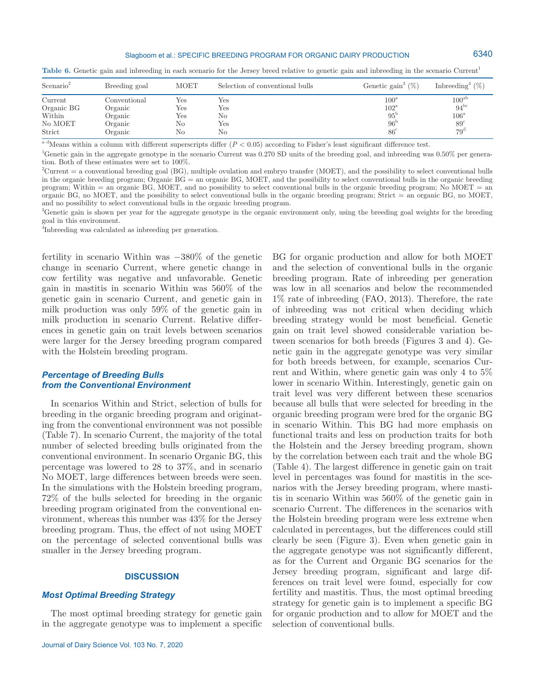| Scenario <sup>2</sup> | Breeding goal | <b>MOET</b> | Selection of conventional bulls | Genetic gain <sup>3</sup> $(\%)$ | Indeeding <sup>4</sup> $(\%)$ |
|-----------------------|---------------|-------------|---------------------------------|----------------------------------|-------------------------------|
| Current               | Conventional  | Yes         | Yes                             | $100^{\circ}$                    | $100^{ab}$                    |
| Organic BG            | Organic       | Yes         | Yes                             | $102^{\mathrm{a}}$               | $94^{bc}$                     |
| Within                | Organic       | Yes         | No                              | $95^{\circ}$                     | $106^{\mathrm{a}}$            |
| No MOET               | Organic       | No          | Yes                             | 96 <sup>E</sup>                  | 89 <sup>c</sup>               |
| Strict                | Organic       | No          | No                              | $86^{\circ}$                     | $79^{\rm d}$                  |

Table 6. Genetic gain and inbreeding in each scenario for the Jersey breed relative to genetic gain and inbreeding in the scenario Current<sup>1</sup>

 $A<sup>a-d</sup>$ Means within a column with different superscripts differ  $(P < 0.05)$  according to Fisher's least significant difference test.

1 Genetic gain in the aggregate genotype in the scenario Current was 0.270 SD units of the breeding goal, and inbreeding was 0.50% per generation. Both of these estimates were set to 100%.

<sup>2</sup>Current = a conventional breeding goal (BG), multiple ovulation and embryo transfer (MOET), and the possibility to select conventional bulls in the organic breeding program; Organic  $BG =$  an organic  $BG$ , MOET, and the possibility to select conventional bulls in the organic breeding program; Within  $=$  an organic BG, MOET, and no possibility to select conventional bulls in the organic breeding program; No MOET  $=$  an organic BG, no MOET, and the possibility to select conventional bulls in the organic breeding program; Strict = an organic BG, no MOET, and no possibility to select conventional bulls in the organic breeding program.

3 Genetic gain is shown per year for the aggregate genotype in the organic environment only, using the breeding goal weights for the breeding goal in this environment.

4 Inbreeding was calculated as inbreeding per generation.

fertility in scenario Within was −380% of the genetic change in scenario Current, where genetic change in cow fertility was negative and unfavorable. Genetic gain in mastitis in scenario Within was 560% of the genetic gain in scenario Current, and genetic gain in milk production was only 59% of the genetic gain in milk production in scenario Current. Relative differences in genetic gain on trait levels between scenarios were larger for the Jersey breeding program compared with the Holstein breeding program.

# *Percentage of Breeding Bulls from the Conventional Environment*

In scenarios Within and Strict, selection of bulls for breeding in the organic breeding program and originating from the conventional environment was not possible (Table 7). In scenario Current, the majority of the total number of selected breeding bulls originated from the conventional environment. In scenario Organic BG, this percentage was lowered to 28 to 37%, and in scenario No MOET, large differences between breeds were seen. In the simulations with the Holstein breeding program, 72% of the bulls selected for breeding in the organic breeding program originated from the conventional environment, whereas this number was 43% for the Jersey breeding program. Thus, the effect of not using MOET on the percentage of selected conventional bulls was smaller in the Jersey breeding program.

# **DISCUSSION**

# *Most Optimal Breeding Strategy*

The most optimal breeding strategy for genetic gain in the aggregate genotype was to implement a specific BG for organic production and allow for both MOET and the selection of conventional bulls in the organic breeding program. Rate of inbreeding per generation was low in all scenarios and below the recommended 1% rate of inbreeding (FAO, 2013). Therefore, the rate of inbreeding was not critical when deciding which breeding strategy would be most beneficial. Genetic gain on trait level showed considerable variation between scenarios for both breeds (Figures 3 and 4). Genetic gain in the aggregate genotype was very similar for both breeds between, for example, scenarios Current and Within, where genetic gain was only 4 to 5% lower in scenario Within. Interestingly, genetic gain on trait level was very different between these scenarios because all bulls that were selected for breeding in the organic breeding program were bred for the organic BG in scenario Within. This BG had more emphasis on functional traits and less on production traits for both the Holstein and the Jersey breeding program, shown by the correlation between each trait and the whole BG (Table 4). The largest difference in genetic gain on trait level in percentages was found for mastitis in the scenarios with the Jersey breeding program, where mastitis in scenario Within was 560% of the genetic gain in scenario Current. The differences in the scenarios with the Holstein breeding program were less extreme when calculated in percentages, but the differences could still clearly be seen (Figure 3). Even when genetic gain in the aggregate genotype was not significantly different, as for the Current and Organic BG scenarios for the Jersey breeding program, significant and large differences on trait level were found, especially for cow fertility and mastitis. Thus, the most optimal breeding strategy for genetic gain is to implement a specific BG for organic production and to allow for MOET and the selection of conventional bulls.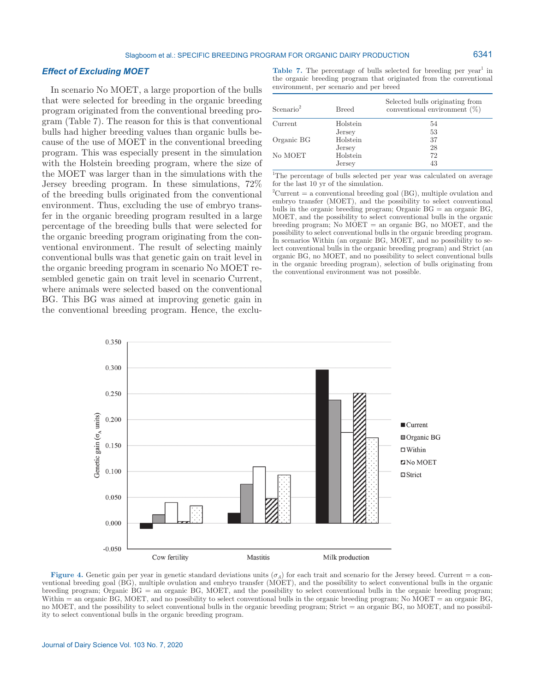# *Effect of Excluding MOET*

In scenario No MOET, a large proportion of the bulls that were selected for breeding in the organic breeding program originated from the conventional breeding program (Table 7). The reason for this is that conventional bulls had higher breeding values than organic bulls because of the use of MOET in the conventional breeding program. This was especially present in the simulation with the Holstein breeding program, where the size of the MOET was larger than in the simulations with the Jersey breeding program. In these simulations, 72% of the breeding bulls originated from the conventional environment. Thus, excluding the use of embryo transfer in the organic breeding program resulted in a large percentage of the breeding bulls that were selected for the organic breeding program originating from the conventional environment. The result of selecting mainly conventional bulls was that genetic gain on trait level in the organic breeding program in scenario No MOET resembled genetic gain on trait level in scenario Current, where animals were selected based on the conventional BG. This BG was aimed at improving genetic gain in the conventional breeding program. Hence, the exclu-

Table 7. The percentage of bulls selected for breeding per year<sup>1</sup> in the organic breeding program that originated from the conventional environment, per scenario and per breed

| Scenario <sup>2</sup> | <b>Breed</b> | Selected bulls originating from<br>conventional environment $(\%)$ |
|-----------------------|--------------|--------------------------------------------------------------------|
| Current               | Holstein     | 54                                                                 |
|                       | Jersey       | 53                                                                 |
| Organic BG            | Holstein     | 37                                                                 |
|                       | Jersey       | 28                                                                 |
| No MOET               | Holstein     | 72                                                                 |
|                       | Jersey       | 43                                                                 |

<sup>1</sup>The percentage of bulls selected per year was calculated on average for the last 10 yr of the simulation.

 ${}^{2}$ Current = a conventional breeding goal (BG), multiple ovulation and embryo transfer (MOET), and the possibility to select conventional bulls in the organic breeding program; Organic  $BG =$  an organic  $BG$ , MOET, and the possibility to select conventional bulls in the organic breeding program; No MOET = an organic BG, no MOET, and the possibility to select conventional bulls in the organic breeding program. In scenarios Within (an organic BG, MOET, and no possibility to select conventional bulls in the organic breeding program) and Strict (an organic BG, no MOET, and no possibility to select conventional bulls in the organic breeding program), selection of bulls originating from the conventional environment was not possible.



**Figure 4.** Genetic gain per year in genetic standard deviations units  $(\sigma_4)$  for each trait and scenario for the Jersey breed. Current = a conventional breeding goal (BG), multiple ovulation and embryo transfer (MOET), and the possibility to select conventional bulls in the organic breeding program; Organic BG = an organic BG, MOET, and the possibility to select conventional bulls in the organic breeding program; Within = an organic BG, MOET, and no possibility to select conventional bulls in the organic breeding program; No MOET = an organic BG, no MOET, and the possibility to select conventional bulls in the organic breeding program; Strict = an organic BG, no MOET, and no possibility to select conventional bulls in the organic breeding program.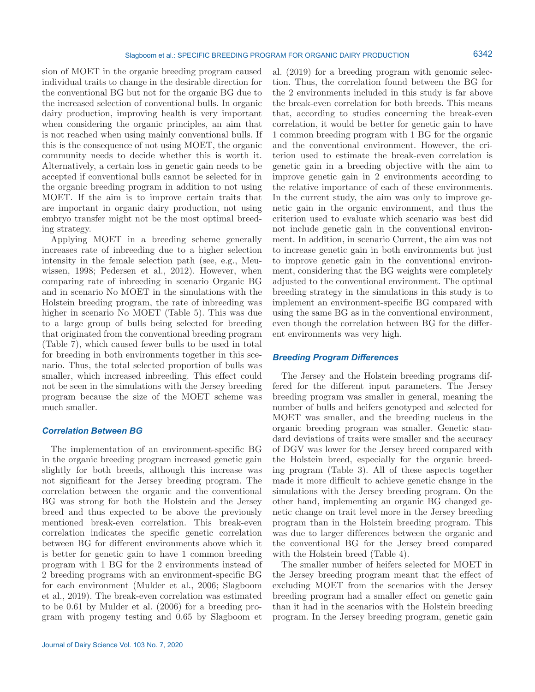sion of MOET in the organic breeding program caused individual traits to change in the desirable direction for the conventional BG but not for the organic BG due to the increased selection of conventional bulls. In organic dairy production, improving health is very important when considering the organic principles, an aim that is not reached when using mainly conventional bulls. If this is the consequence of not using MOET, the organic community needs to decide whether this is worth it. Alternatively, a certain loss in genetic gain needs to be accepted if conventional bulls cannot be selected for in the organic breeding program in addition to not using MOET. If the aim is to improve certain traits that are important in organic dairy production, not using embryo transfer might not be the most optimal breeding strategy.

Applying MOET in a breeding scheme generally increases rate of inbreeding due to a higher selection intensity in the female selection path (see, e.g., Meuwissen, 1998; Pedersen et al., 2012). However, when comparing rate of inbreeding in scenario Organic BG and in scenario No MOET in the simulations with the Holstein breeding program, the rate of inbreeding was higher in scenario No MOET (Table 5). This was due to a large group of bulls being selected for breeding that originated from the conventional breeding program (Table 7), which caused fewer bulls to be used in total for breeding in both environments together in this scenario. Thus, the total selected proportion of bulls was smaller, which increased inbreeding. This effect could not be seen in the simulations with the Jersey breeding program because the size of the MOET scheme was much smaller.

#### *Correlation Between BG*

The implementation of an environment-specific BG in the organic breeding program increased genetic gain slightly for both breeds, although this increase was not significant for the Jersey breeding program. The correlation between the organic and the conventional BG was strong for both the Holstein and the Jersey breed and thus expected to be above the previously mentioned break-even correlation. This break-even correlation indicates the specific genetic correlation between BG for different environments above which it is better for genetic gain to have 1 common breeding program with 1 BG for the 2 environments instead of 2 breeding programs with an environment-specific BG for each environment (Mulder et al., 2006; Slagboom et al., 2019). The break-even correlation was estimated to be 0.61 by Mulder et al. (2006) for a breeding program with progeny testing and 0.65 by Slagboom et

Journal of Dairy Science Vol. 103 No. 7, 2020

al. (2019) for a breeding program with genomic selection. Thus, the correlation found between the BG for the 2 environments included in this study is far above the break-even correlation for both breeds. This means that, according to studies concerning the break-even correlation, it would be better for genetic gain to have 1 common breeding program with 1 BG for the organic and the conventional environment. However, the criterion used to estimate the break-even correlation is genetic gain in a breeding objective with the aim to improve genetic gain in 2 environments according to the relative importance of each of these environments. In the current study, the aim was only to improve genetic gain in the organic environment, and thus the criterion used to evaluate which scenario was best did not include genetic gain in the conventional environment. In addition, in scenario Current, the aim was not to increase genetic gain in both environments but just to improve genetic gain in the conventional environment, considering that the BG weights were completely adjusted to the conventional environment. The optimal breeding strategy in the simulations in this study is to implement an environment-specific BG compared with using the same BG as in the conventional environment, even though the correlation between BG for the different environments was very high.

#### *Breeding Program Differences*

The Jersey and the Holstein breeding programs differed for the different input parameters. The Jersey breeding program was smaller in general, meaning the number of bulls and heifers genotyped and selected for MOET was smaller, and the breeding nucleus in the organic breeding program was smaller. Genetic standard deviations of traits were smaller and the accuracy of DGV was lower for the Jersey breed compared with the Holstein breed, especially for the organic breeding program (Table 3). All of these aspects together made it more difficult to achieve genetic change in the simulations with the Jersey breeding program. On the other hand, implementing an organic BG changed genetic change on trait level more in the Jersey breeding program than in the Holstein breeding program. This was due to larger differences between the organic and the conventional BG for the Jersey breed compared with the Holstein breed (Table 4).

The smaller number of heifers selected for MOET in the Jersey breeding program meant that the effect of excluding MOET from the scenarios with the Jersey breeding program had a smaller effect on genetic gain than it had in the scenarios with the Holstein breeding program. In the Jersey breeding program, genetic gain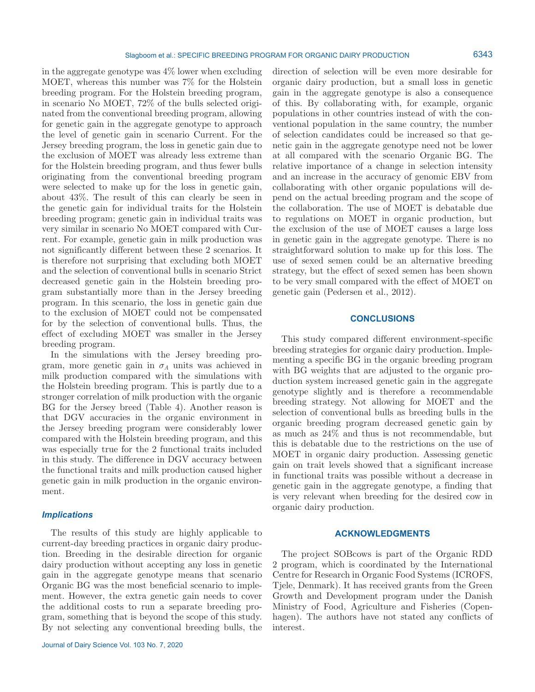in the aggregate genotype was 4% lower when excluding MOET, whereas this number was 7% for the Holstein breeding program. For the Holstein breeding program, in scenario No MOET, 72% of the bulls selected originated from the conventional breeding program, allowing for genetic gain in the aggregate genotype to approach the level of genetic gain in scenario Current. For the Jersey breeding program, the loss in genetic gain due to the exclusion of MOET was already less extreme than for the Holstein breeding program, and thus fewer bulls originating from the conventional breeding program were selected to make up for the loss in genetic gain, about 43%. The result of this can clearly be seen in the genetic gain for individual traits for the Holstein breeding program; genetic gain in individual traits was very similar in scenario No MOET compared with Current. For example, genetic gain in milk production was not significantly different between these 2 scenarios. It is therefore not surprising that excluding both MOET and the selection of conventional bulls in scenario Strict decreased genetic gain in the Holstein breeding program substantially more than in the Jersey breeding program. In this scenario, the loss in genetic gain due to the exclusion of MOET could not be compensated for by the selection of conventional bulls. Thus, the effect of excluding MOET was smaller in the Jersey breeding program.

In the simulations with the Jersey breeding program, more genetic gain in  $\sigma_A$  units was achieved in milk production compared with the simulations with the Holstein breeding program. This is partly due to a stronger correlation of milk production with the organic BG for the Jersey breed (Table 4). Another reason is that DGV accuracies in the organic environment in the Jersey breeding program were considerably lower compared with the Holstein breeding program, and this was especially true for the 2 functional traits included in this study. The difference in DGV accuracy between the functional traits and milk production caused higher genetic gain in milk production in the organic environment.

### *Implications*

The results of this study are highly applicable to current-day breeding practices in organic dairy production. Breeding in the desirable direction for organic dairy production without accepting any loss in genetic gain in the aggregate genotype means that scenario Organic BG was the most beneficial scenario to implement. However, the extra genetic gain needs to cover the additional costs to run a separate breeding program, something that is beyond the scope of this study. By not selecting any conventional breeding bulls, the

direction of selection will be even more desirable for organic dairy production, but a small loss in genetic gain in the aggregate genotype is also a consequence of this. By collaborating with, for example, organic populations in other countries instead of with the conventional population in the same country, the number of selection candidates could be increased so that genetic gain in the aggregate genotype need not be lower at all compared with the scenario Organic BG. The relative importance of a change in selection intensity and an increase in the accuracy of genomic EBV from collaborating with other organic populations will depend on the actual breeding program and the scope of the collaboration. The use of MOET is debatable due to regulations on MOET in organic production, but the exclusion of the use of MOET causes a large loss in genetic gain in the aggregate genotype. There is no straightforward solution to make up for this loss. The use of sexed semen could be an alternative breeding strategy, but the effect of sexed semen has been shown to be very small compared with the effect of MOET on genetic gain (Pedersen et al., 2012).

### **CONCLUSIONS**

This study compared different environment-specific breeding strategies for organic dairy production. Implementing a specific BG in the organic breeding program with BG weights that are adjusted to the organic production system increased genetic gain in the aggregate genotype slightly and is therefore a recommendable breeding strategy. Not allowing for MOET and the selection of conventional bulls as breeding bulls in the organic breeding program decreased genetic gain by as much as 24% and thus is not recommendable, but this is debatable due to the restrictions on the use of MOET in organic dairy production. Assessing genetic gain on trait levels showed that a significant increase in functional traits was possible without a decrease in genetic gain in the aggregate genotype, a finding that is very relevant when breeding for the desired cow in organic dairy production.

### **ACKNOWLEDGMENTS**

The project SOBcows is part of the Organic RDD 2 program, which is coordinated by the International Centre for Research in Organic Food Systems (ICROFS, Tjele, Denmark). It has received grants from the Green Growth and Development program under the Danish Ministry of Food, Agriculture and Fisheries (Copenhagen). The authors have not stated any conflicts of interest.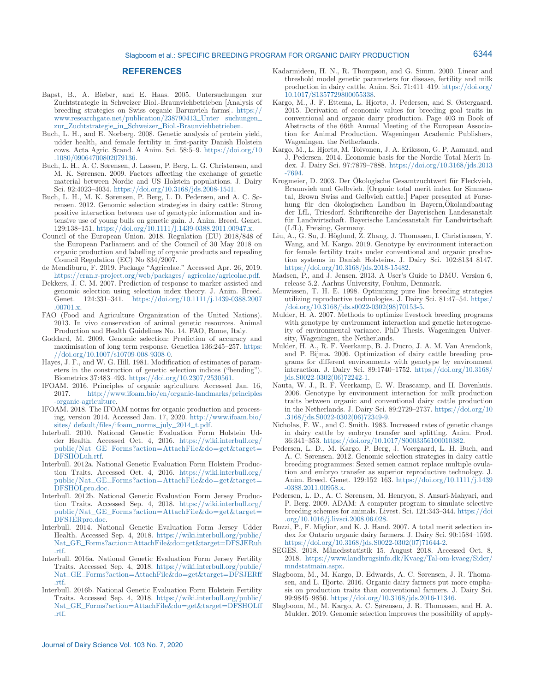#### **REFERENCES**

- Bapst, B., A. Bieber, and E. Haas. 2005. Untersuchungen zur Zuchtstrategie in Schweizer Biol.-Braunviehbetrieben [Analysis of breeding strategies on Swiss organic Barunvieh farms]. [https://](https://www.researchgate.net/publication/238790413_Unter) [www.researchgate.net/publication/238790413\\_Unter](https://www.researchgate.net/publication/238790413_Unter) [suchungen\\_](suchungen_zur_Zuchtstrategie_in_Schweizer_Biol.-Braunviehbetrieben) [zur\\_Zuchtstrategie\\_in\\_Schweizer\\_Biol.-Braunviehbetrieben.](suchungen_zur_Zuchtstrategie_in_Schweizer_Biol.-Braunviehbetrieben)
- Buch, L. H., and E. Norberg. 2008. Genetic analysis of protein yield, udder health, and female fertility in first-parity Danish Holstein cows. Acta Agric. Scand. A Anim. Sci. 58:5–9. [https://doi.org/10](https://doi.org/10.1080/09064700802079136) [.1080/09064700802079136](https://doi.org/10.1080/09064700802079136).
- Buch, L. H., A. C. Sørensen, J. Lassen, P. Berg, L. G. Christensen, and M. K. Sørensen. 2009. Factors affecting the exchange of genetic material between Nordic and US Holstein populations. J. Dairy Sci. 92:4023–4034. [https://doi.org/10.3168/jds.2008-1541.](https://doi.org/10.3168/jds.2008-1541)
- Buch, L. H., M. K. Sørensen, P. Berg, L. D. Pedersen, and A. C. Sørensen. 2012. Genomic selection strategies in dairy cattle: Strong positive interaction between use of genotypic information and intensive use of young bulls on genetic gain. J. Anim. Breed. Genet. 129:138–151. [https://doi.org/10.1111/j.1439-0388.2011.00947.x.](https://doi.org/10.1111/j.1439-0388.2011.00947.x)
- Council of the European Union. 2018. Regulation (EU) 2018/848 of the European Parliament and of the Council of 30 May 2018 on organic production and labelling of organic products and repealing Council Regulation (EC) No 834/2007.
- de Mendiburu, F. 2019. Package "Agricolae." Accessed Apr. 26, 2019. <https://cran.r-project.org/web/packages/ agricolae/agricolae.pdf>.
- Dekkers, J. C. M. 2007. Prediction of response to marker assisted and genomic selection using selection index theory. J. Anim. Breed. Genet. 124:331–341. [https://doi.org/10.1111/j.1439-0388.2007](https://doi.org/10.1111/j.1439-0388.2007.00701.x) [.00701.x.](https://doi.org/10.1111/j.1439-0388.2007.00701.x)
- FAO (Food and Agriculture Organization of the United Nations). 2013. In vivo conservation of animal genetic resources. Animal Production and Health Guidelines No. 14. FAO, Rome, Italy.
- Goddard, M. 2009. Genomic selection: Prediction of accuracy and maximisation of long term response. Genetica 136:245–257. [https:](https://doi.org/10.1007/s10709-008-9308-0) [//doi.org/10.1007/s10709-008-9308-0](https://doi.org/10.1007/s10709-008-9308-0).
- Hayes, J. F., and W. G. Hill. 1981. Modification of estimates of parameters in the construction of genetic selection indices ("bending"). Biometrics 37:483–493. [https://doi.org/10.2307/2530561.](https://doi.org/10.2307/2530561)
- IFOAM. 2016. Principles of organic agriculture. Accessed Jan. 16, 2017. [http://www.ifoam.bio/en/organic-landmarks/principles](http://www.ifoam.bio/en/organic-landmarks/principles-organic-agriculture) [-organic-agriculture](http://www.ifoam.bio/en/organic-landmarks/principles-organic-agriculture).
- IFOAM. 2018. The IFOAM norms for organic production and processing, version 2014. Accessed Jan. 17, 2020. [http://www.ifoam.bio/](http://www.ifoam.bio/sites/ default/files/ifoam_norms_july_2014_t.pdf) [sites/ default/files/ifoam\\_norms\\_july\\_2014\\_t.pdf.](http://www.ifoam.bio/sites/ default/files/ifoam_norms_july_2014_t.pdf)
- Interbull. 2010. National Genetic Evaluation Form Holstein Udder Health. Accessed Oct. 4, 2016. [https://wiki.interbull.org/](https://wiki.interbull.org/public/Nat_GE_Forms?action=AttachFile&do=get&target=DFSHOLuh.rtf) [public/Nat\\_GE\\_Forms?action=AttachFile&do=get&target=](https://wiki.interbull.org/public/Nat_GE_Forms?action=AttachFile&do=get&target=DFSHOLuh.rtf) [DFSHOLuh.rtf](https://wiki.interbull.org/public/Nat_GE_Forms?action=AttachFile&do=get&target=DFSHOLuh.rtf).
- Interbull. 2012a. National Genetic Evaluation Form Holstein Production Traits. Accessed Oct. 4, 2016. [https://wiki.interbull.org/](https://wiki.interbull.org/public/Nat_GE_Forms?action=AttachFile&do=get&target=DFSHOLpro.doc) [public/Nat\\_GE\\_Forms?action=AttachFile&do=get&target=](https://wiki.interbull.org/public/Nat_GE_Forms?action=AttachFile&do=get&target=DFSHOLpro.doc) [DFSHOLpro.doc.](https://wiki.interbull.org/public/Nat_GE_Forms?action=AttachFile&do=get&target=DFSHOLpro.doc)
- Interbull. 2012b. National Genetic Evaluation Form Jersey Production Traits. Accessed Sep. 4, 2018. [https://wiki.interbull.org/](https://wiki.interbull.org/public/Nat_GE_Forms?action=AttachFile&do=get&target=DFSJERpro.doc) [public/Nat\\_GE\\_Forms?action=AttachFile&do=get&target=](https://wiki.interbull.org/public/Nat_GE_Forms?action=AttachFile&do=get&target=DFSJERpro.doc) [DFSJERpro.doc.](https://wiki.interbull.org/public/Nat_GE_Forms?action=AttachFile&do=get&target=DFSJERpro.doc)
- Interbull. 2014. National Genetic Evaluation Form Jersey Udder Health. Accessed Sep. 4, 2018. [https://wiki.interbull.org/public/](https://wiki.interbull.org/public/Nat_GE_Forms?action=AttachFile&do=get&target=DFSJERuh.rtf) [Nat\\_GE\\_Forms?action=AttachFile&do=get&target=DFSJERuh](https://wiki.interbull.org/public/Nat_GE_Forms?action=AttachFile&do=get&target=DFSJERuh.rtf) [.rtf](https://wiki.interbull.org/public/Nat_GE_Forms?action=AttachFile&do=get&target=DFSJERuh.rtf).
- Interbull. 2016a. National Genetic Evaluation Form Jersey Fertility Traits. Accessed Sep. 4, 2018. [https://wiki.interbull.org/public/](https://wiki.interbull.org/public/Nat_GE_Forms?action=AttachFile&do=get&target=DFSJERff.rtf) [Nat\\_GE\\_Forms?action=AttachFile&do=get&target=DFSJERff](https://wiki.interbull.org/public/Nat_GE_Forms?action=AttachFile&do=get&target=DFSJERff.rtf) [.rtf](https://wiki.interbull.org/public/Nat_GE_Forms?action=AttachFile&do=get&target=DFSJERff.rtf).
- Interbull. 2016b. National Genetic Evaluation Form Holstein Fertility Traits. Accessed Sep. 4, 2018. [https://wiki.interbull.org/public/](https://wiki.interbull.org/public/Nat_GE_Forms?action=AttachFile&do=get&target=DFSHOLff.rtf) [Nat\\_GE\\_Forms?action=AttachFile&do=get&target=DFSHOLff](https://wiki.interbull.org/public/Nat_GE_Forms?action=AttachFile&do=get&target=DFSHOLff.rtf) [.rtf](https://wiki.interbull.org/public/Nat_GE_Forms?action=AttachFile&do=get&target=DFSHOLff.rtf).
- Kadarmideen, H. N., R. Thompson, and G. Simm. 2000. Linear and threshold model genetic parameters for disease, fertility and milk production in dairy cattle. Anim. Sci. 71:411–419. [https://doi.org/](https://doi.org/10.1017/S1357729800055338) [10.1017/S1357729800055338.](https://doi.org/10.1017/S1357729800055338)
- Kargo, M., J. F. Ettema, L. Hjortø, J. Pedersen, and S. Østergaard. 2015. Derivation of economic values for breeding goal traits in conventional and organic dairy production. Page 403 in Book of Abstracts of the 66th Annual Meeting of the European Association for Animal Production. Wageningen Academic Publishers, Wageningen, the Netherlands.
- Kargo, M., L. Hjortø, M. Toivonen, J. A. Eriksson, G. P. Aamand, and J. Pedersen. 2014. Economic basis for the Nordic Total Merit Index. J. Dairy Sci. 97:7879–7888. [https://doi.org/10.3168/jds.2013](https://doi.org/10.3168/jds.2013-7694) [-7694](https://doi.org/10.3168/jds.2013-7694).
- Krogmeier, D. 2003. Der Ökologische Gesamtzuchtwert für Fleckvieh, Braunvieh und Gelbvieh. [Organic total merit index for Simmental, Brown Swiss and Gelbvieh cattle.] Paper presented at Forschung für den ökologischen Landbau in Bayern,Ökolandbautag der LfL, Triesdorf. Schriftenreihe der Bayerischen Landesanstalt für Landwirtschaft. Bayerische Landesanstalt für Landwirtschaft (LfL), Freising, Germany.
- Liu, A., G. Su, J. Höglund, Z. Zhang, J. Thomasen, I. Christiansen, Y. Wang, and M. Kargo. 2019. Genotype by environment interaction for female fertility traits under conventional and organic production systems in Danish Holsteins. J. Dairy Sci. 102:8134–8147. [https://doi.org/10.3168/jds.2018-15482.](https://doi.org/10.3168/jds.2018-15482)
- Madsen, P., and J. Jensen. 2013. A User's Guide to DMU. Version 6, release 5.2. Aarhus University, Foulum, Denmark.
- Meuwissen, T. H. E. 1998. Optimizing pure line breeding strategies utilizing reproductive technologies. J. Dairy Sci. 81:47–54. [https:/](https: / / doi .org/ 10 .3168/ jds .s0022 -0302(98)70153 -5) [/doi.org/10.3168/jds.s0022-0302\(98\)70153-5.](https: / / doi .org/ 10 .3168/ jds .s0022 -0302(98)70153 -5)
- Mulder, H. A. 2007. Methods to optimize livestock breeding programs with genotype by environment interaction and genetic heterogeneity of environmental variance. PhD Thesis. Wageningen University, Wageningen, the Netherlands.
- Mulder, H. A., R. F. Veerkamp, B. J. Ducro, J. A. M. Van Arendonk, and P. Bijma. 2006. Optimization of dairy cattle breeding programs for different environments with genotype by environment interaction. J. Dairy Sci. 89:1740–1752. [https://doi.org/10.3168/](https://doi.org/10.3168/jds.S0022-0302(06)72242-1) [jds.S0022-0302\(06\)72242-1](https://doi.org/10.3168/jds.S0022-0302(06)72242-1).
- Nauta, W. J., R. F. Veerkamp, E. W. Brascamp, and H. Bovenhuis. 2006. Genotype by environment interaction for milk production traits between organic and conventional dairy cattle production in the Netherlands. J. Dairy Sci. 89:2729–2737. [https://doi.org/10](https://doi.org/10.3168/jds.S0022-0302(06)72349-9) [.3168/jds.S0022-0302\(06\)72349-9](https://doi.org/10.3168/jds.S0022-0302(06)72349-9).
- Nicholas, F. W., and C. Smith. 1983. Increased rates of genetic change in dairy cattle by embryo transfer and splitting. Anim. Prod. 36:341–353.<https://doi.org/10.1017/S0003356100010382>.
- Pedersen, L. D., M. Kargo, P. Berg, J. Voergaard, L. H. Buch, and A. C. Sørensen. 2012. Genomic selection strategies in dairy cattle breeding programmes: Sexed semen cannot replace multiple ovulation and embryo transfer as superior reproductive technology. J. Anim. Breed. Genet. 129:152–163. [https://doi.org/10.1111/j.1439](https://doi.org/10.1111/j.1439-0388.2011.00958.x) [-0388.2011.00958.x.](https://doi.org/10.1111/j.1439-0388.2011.00958.x)
- Pedersen, L. D., A. C. Sørensen, M. Henryon, S. Ansari-Mahyari, and P. Berg. 2009. ADAM: A computer program to simulate selective breeding schemes for animals. Livest. Sci. 121:343–344. [https://doi](https://doi.org/10.1016/j.livsci.2008.06.028) [.org/10.1016/j.livsci.2008.06.028](https://doi.org/10.1016/j.livsci.2008.06.028).
- Rozzi, P., F. Miglior, and K. J. Hand. 2007. A total merit selection index for Ontario organic dairy farmers. J. Dairy Sci. 90:1584–1593. [https://doi.org/10.3168/jds.S0022-0302\(07\)71644-2](https://doi.org/10.3168/jds.S0022-0302(07)71644-2).
- SEGES. 2018. Månedsstatistik 15. August 2018. Accessed Oct. 8, 2018. [https://www.landbrugsinfo.dk/Kvaeg/Tal-om-kvaeg/Sider/](https://www.landbrugsinfo.dk/Kvaeg/Tal-om-kvaeg/Sider/mndstatmain.aspx) [mndstatmain.aspx](https://www.landbrugsinfo.dk/Kvaeg/Tal-om-kvaeg/Sider/mndstatmain.aspx).
- Slagboom, M., M. Kargo, D. Edwards, A. C. Sørensen, J. R. Thomasen, and L. Hjortø. 2016. Organic dairy farmers put more emphasis on production traits than conventional farmers. J. Dairy Sci. 99:9845–9856. <https://doi.org/10.3168/jds.2016-11346>.
- Slagboom, M., M. Kargo, A. C. Sørensen, J. R. Thomasen, and H. A. Mulder. 2019. Genomic selection improves the possibility of apply-